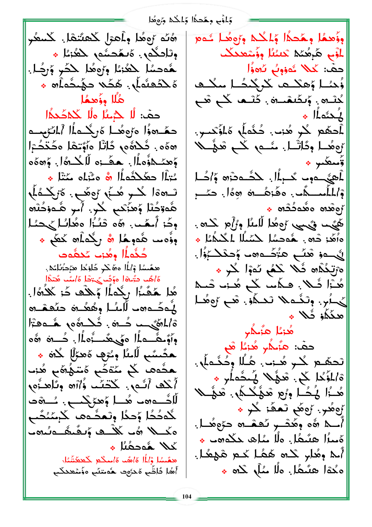وَلِمْهِ وهُدِمًا وَلِمُكُمْ وَرُوهُا

هُنَّهُ رُوهُا وِأَعْوَلَ لَاهِتُنْهَا. لَاسْعُرِ وتادگەر. ەىمكىشەر بىرماشقا ھ هُوصُا ۞هُزئا ورُوهُا ۞هُر وَرِكُ]. هُ لأَدْهِنُه بُم هُكُلا حَهُنَدُهُ \* جُلًّا وؤُهِمُا حفَ: لَا جُئِبًا ولَا كَلاَحُدِهُ! حَمَّـهوُّا هَرُوهُــا هُرِيْـُــماْا ٱلْمُرَّمِــــه ههُه. ثُلاهُهر دُاتْا هزَوٌتقا هكَنَّدُ ْإِ وُهِمُكُوْوَءُاْلِ هِجَاءَهِ لَا كُلْدُوا وَوَوَوَهِ سُمَّا اللَّهُ مَا مُنْ الْمُعَامَلُ اللَّهُ مَنْتُلُ لَـهةا لَمْـمِ هُــَمْ، وَهِهُــمِ. ةَرْكُــمُلَم هُەوۡحُدًا وٖۡمَٰٓ:ُكُم ۚ كُلِّ ۚ أُس هُـءوۡحُلُه وجّز أَمعًى. ۞ه قْنُزًا هِهْائُلْكِيْجِيْل وَوَّەت ھُەوھُا ، رَبُّدْاُھ كَعَلَّى ﴾ كُثُماُ! وِهُٰ;ٮ كُنفُوت همَّسُا وْالْمَا هَدَى كَاوْكَا هَرَدْنَائِهِ. هَاهُم حَبُّدهَ الْمَهْرَبِّ مِنْهُم أَهْبَدُ هُنَدًا هُا هَفَىٰزُا رِجُدِمُا وَجِدْفٍ حَزِ كَلَاهُا. لمُدكَّدها لَلْمُلْ وِهُمُدهَ حنَّفهُــه ةَالْمَكْبِ سَــْمَةَ . هُــْـِمَّه مِـْـُـمِّـةُ الْمَـَـهِ مِــْمِـهِ وَأَوْصِفُــداً، الْمَعْــدِّوْمِ الْمَــدَّةِ وَأَوْصِدَةِ مِنْ ـْمَشَىْبُ لَامْلُا وِنْتِهِ دَمْرُلَا كُلُّهُ \* ھڪُەھ کُمْ مُتَمَكِّ ەُسْھُ1ُمْ ھُنِ أَكْكَ أَنُسَى. كُخْتُبْ ؤُٱلْهِ وِتُلْعَذُوى لْدَدُدًا وُحِدًا وِتَعَشَّدَهَا لَكَرْمُنْشَبَ ەڭلىلا شى ئاللىك ۆلىقىشىلىدەت ىُمْلَا هُوْجِعُلًا ﴾ همُسُا وْالْمَا هَاهُمْ هَاسْكُمْ كَعْعَقْتُنَا. أَهُا دَاتَٰبِ ہَدوٗت حُوشتَبِ وَنُسْعِدكَبِ

وؤهمًا وهَجِدًا وَلِمُحَدِّرٍ وَوَمَحَلَّ شَوْمٍ لْمُو هَٰبِعُمُمْ كَسُلًا وِوَّسْعَدِكُت حَقّ: كَلا شُوْوِبُ ثَلاوُّا وُحسًا وَهكت كَرِيْحَدًا سكت كْلُىهِ . وَتَضَعَّمَىهُ . كُلُّى كُلِّ هُبَ يَحْدُه أَا \* أَحكَم لَكُو هُنِ دُخُمَلٌ هَاؤُكْمِو. رُوهُـا وِدًاتُـا. مُـــم كَــم هَـهُــلًا وٌمعكَّبٍ لَعِنُّ و سُبْراً. حَثَّ وَتَو وَأَصَّلَ وْالْمُلْمَـــدُّمَــ. هَفَرْهُـــرَه وَهُمْ. حَمّـــرِ  $\bullet$  တံဆိုင်စီးဝ တစ်ဝ $\big\}$ . مهكَ بِهِ أَسْلاً وَأَوْلَا اللهُ مِنْ سَرْبِهِ هأهُدْ دُهِ . هُوصُلُ لِمَسْلًا لِمَكْلُمُ \* لَّكَ هُمَّـــوه مُتَّصَدُه وَحَفَّكُ بَوَّا. ەزنىڭدە ئىلا ئىكى ئەۋا ئىر م هُنْزَا ثَبِلاً. فيكمب كُم هُنِ تَسْمُ حُكْرٍ. وِتَنْهَىٰ تَعَيْرُوْ. قَبِي رُوهُمَا هَكَكُوْ شُكْلٌ \* هُذِمًا هزُمكُم حقَّ: هَزُمكُمْ هُزْمًا هُمْ تحكّم كُــر هُــز . هُـلًا وِحُـدُـملًى . ة/لمَوْكُل كُلْ شَهْلا لِمُحْمَلُو \* هُـزًا هُـصًا وزُمِ شَهْكُـكَم، مَوْصُـلًا رُوهُو. رُوهُمْ لَعفُهْ لَكُو \* أَسْـدْ ۞ُه وِهُتْسَـرِ نُفْقَـرُهُ حَوْهِهُــلَ. ەُمىرًا ھِنَىھَا. وَلَا مُاھ ھَكُومَت ﴾ أَحِمْ وِهُلِي كُلُّهِ هَمُا كُلُّمْ هَوْهُا. ه هَدَا هِنَيْهَا. وَلَا سُلَّى لَاهِ ﴾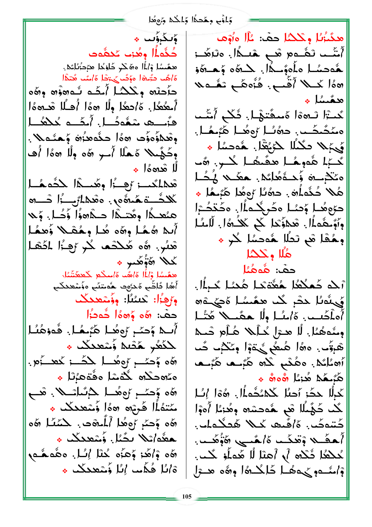وَلِمْنِي وِهَدِمَا وَلِمَكُمْ وَرُوهُا

ۇنخۇب ھ كُنُّه لَمَّا وهُنِّ مُحَقَّدَت حاَّجتُه وِحْكَمَا أَمضُه شُهِوَوْهِ وِهَهِ أَحفَعُل. هَ/حعُل وِلًا هوهُ! أُهـلُّا هَــهوهُ! فَنْسِــده شَفُوصُــا. أَيضُــو يُحجَفُــا وِهْدُوُوُوُبِ (160 حَذُوبُو وُحِدَّدٍ) . وِكَهُٰىٰ ۚ هَٰمَاْ أُسِرٍ ۞ه وِلًا ۞هُ ٰ أُف း ၂၀၀၀ ရက် هْكَلْكُسْ: رُهِيءُ وهُسِيْدًا لِكُمْعُسَارِ كَلَاثُتْ هُدَةُهِ. هِ مَعْدَلَّهُنَّا تَـــــهِ هنعجدًا ومُتنبَّدًا حِبْدُهُوا وُحُسا. وَبِي أبيه شما وهوه هُا وهُشْمًا وَهُمَا هْنُو. ۞ه هُكْشُفْ كُو رُقِيُّا لِمَّتْقَبَّا َمَلاً ۞وُمُحَمَّرٍ ۞ هِعْسُا وْالْمَا هَاهُمْ هَامِكُمْ كَعْعَقْتُنَا. أَهُا ثَاثَى هَدْوَد هُمتنَى هِ مُمَتنَى وَإِجْزَا: تَعْسُلُا: وِؤُسْعِيْكُمْ حقَّ: 6ه وَ 16% خُوطُ أَىــدْ وَحَـنّــر وُوهُــا هُبُــهُــا. فُـووهُنُــا لْمَكْتُو هُتْلَا وُسْعَدِكُمْ ﴾ هُه وُحمُس وُهِ الْمَسْسَمْ لَا يَعْمَلُونَ وَلَا يَعْمَلُونَ ەلەدلاھ لافشا ەقەمۇتا ھ ھُہ وُحِمَٰہِ رُوھُا کِرْسُلاَتِ اللہ صَبِ مَتْتَمُلًا هُوبْهِ هِهَا وَمْتَعْدَلَكَ \* هُه وُحِبْرِ رُوهُا ٱلْمُرْهَفِ. كَمَنْنَا هُه حَقُّه/ثلا بِدَّيْلَ. وُسْعِدِكْتْ \* هُه وْأَهُدْ وُهِنُه كُنْلُ إِنَّا. وهُوهُو ة الله عُكْمِيب إلله وُسْعِدِكُمْ \*

هدُمُرُمُ وكَذَا حقٍّ: عُلَّا وَأَوْهَبَ أَشَّــد تَقَــوم هَــع هَــدًا. وتَرَهَـــ; هُوصِبُ وَأُودُ اللَّهُ اللَّهُ وَجَعَلَهُمْ هِهُمْ كَمِيلًا أَقْبٍ. قُنُوهُبٍ يَعْسَمِيهِ همٌسُا \* كَىـْتَا نْـْ10\$ ەْمىقْتْتْمْـا. فْكُــا أَشَّــا ەمئڭىكىپ. دەئال ۋەھلى ھۇمگىل. يُجِمَّا دَكْتُلَا حَجَّقْلَ. هُءَهشَا \* حُبَا هُومِهُا هفَعُطُا حُلِي. هُب هَنْݣُوسِين وْحَــةَهُلْهُمْ. هِيَمْــلا لِهُـصُــلا هُلا حُذُه أُهْ . حَهُنُا رُوهُا هَبُنُ \* حرِّوهُــا وَحِبْـا وحُـوجُــولَما. وحُـدِّحُــْرا وِأَوْحَقُماً!. مْحَاوَّكَمْ كُلِّ كَلْحَدُّهُ!. لَّاحُبَا وهُقَا هُو تَطُلَّ هُوَحِمُا ۚ كُرِ ﴾ مُلا , تحملا حق: هُوهُمُا آلحه كَـمحْكُل هُعْتَمْدا هُـدُـا حُـبِلًا. مَصَرَحَةَ لَمُسْهَدَ مَكَّرٍ مِحْمَدِ الْأَعْلَى أَهلْكَنِبٍ. هَا مُنْهَلٍ وِلَا حِقَيْبِ هَيْهَا وِمِنُوهُمُل. لَا هَـْ إِنْ كُـأَلَمْ هُـأَمْ شَـحْـ هُ وَكَنَّهِمْ وَهُمْ الْمُعَلَّمِ مِنْكُمْ وَاللَّهُ مِنْ مَنْهُمْ أهلكم. وهُنْبِ لَاهِ هُرُسِ هُرُسُ Lis de light حْدِلًا حجّز رَحي<sub>ّ</sub>ا حُكمْحُماً. ‰1 إِصْل كُد كُهُّىُلا هُم هُوَدِيْدَة وِهُٰٓئِمَا أُووَٓا كَتْبْوَكْبْ. هْ/قْبْعْدْ كْبْلا خْمْلْكْمْلْتْ. أَهضَلا وْتَعْكَبْ هْ/هُسِي 7ْأُوْتُحْتْ. عُكْمُا خَكْمَ أَبِ أَهِنَا لَا هُوَلَمْ كُبّ. وْاْمِنْدُو يُحْصَلْ خَلِيْكُ؟ وَهُوَ هَدْا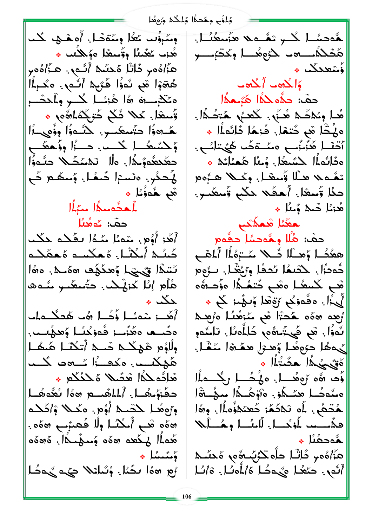وِّلمُوه وهُدمًا وَلِمُدْ وَرَهِهُا

ومَبْرَوُب مُعُل ومَنْقَصَّلَ. أَه هُ في الْخُبْ هُذِبٍ مُعَمِّمًا وِوَّسِعْدَا وَوُلِكُتِ ﴾ هَزُاهُمْ دَّاتْا هُكْسُمْ أَنُـْمٍ. هَزَّاهُمْ هُوَّوْا هُمْ نُووُّا هُرَّىٰہٗ أَنُـهٖ . مَكْـبِـاُا ەڭگېسىغە ھال ھُئسلى ھىلىدىسىز بولگىشىز وَّسِعْلَ كَلا ثَكُمْ حَرَكُهُ لِمُوَهِ \* هُـهؤُا حَتَّمِعُمَــوِ. كَلَّـهؤُا وِؤْهِيــرُّا وَكِنْتُبْعَدُ الْكُنْبُ، حَسَرًّا وَوَّحْقَبَ حَفَّدَهُوَ ذَارِ. وَلَا الْكَمَنَّكُمْ حَنَّوَۚ ا لْحَكُرِ. وَتَسَبَّلَ كُنْهَارْ. وَيَنْقَطْ كُنْ هُم هُوَٰٓئُلُ ﴾ الْمَدُّوسُدًا مِجْدًا حق: عُوهُنُا أَهَٰذِ أُوُمٍ. سَمِئًا سَّـوًا بِفَكِم حَكْب كُسُمْ أَبْكُلْباً. هُهكْسُمْ هُهْكُمْ لَتَنَمَّا قِيْبِيَهَا وَهَكَيْمَةٍ مِنَّةٍ الْمُتَنَ هُأُم إِنَّا كَزَيْكَ. حَتَّىككَبْ مُدَهِ حك ھ أهَّــ: سْمَسُــا زُكْـــا هُــ هُعكْــملت ەڭىلما ەھْزْمىز قْەۆكى*تا* ۆھھىلىپ. ولُلوُم هَهكُم حَـــمُ أَتــُكْـلِ هَـمُـط هُمِكْسَبٍ وَكَعَسُوا كَسْمَعَ كَسْبَ هْلِدُهِ لِمُلْ هُدُلا هُ لِلْنُلُعِ \* حَفَّرَوْحَفُطِ. أَعْلَمُصَـــم هوَّا يُغْوِهُــا وِرُوهُما كِتْسِمْ أُوُمْ. مَكْلًا وْأَكْلُمْ ههُه هُــم أَمـكْسًا وِلَا فُـعبَّب ههُه . هُدَماً لِمَكْعَدِ 500 وَسَيَّمَةً }. 500 ۇمئىنىل ھ رُمِ مِنَ الْمُمْلِ. وُنُعَلَّدُ حَيْثَ اهْمِ وَأَ

هُوصِيًا كُبِ تِمُّنوِي مَنْصِيْدًا. مُصْحُمُـــــوب حَرّوهُـــا وِحَدّىٰــــو ۆشكىك ھ وَالْحَدَّةِ أَلَّكَهُ حق: حَدُّه حَدُّا هُزَ هَذَا هُـا وِمُكَـدُ هُـزَى ۚ كَعِنُى هَٰـٰٓدُكُمْ ۖ . هِ إِخْرَا هُمْ حٌتهَا. فُنِعُا دَائُماًا \* أَحْلَـا هُنُنُب ممْــةكُم هُهُتابُ . ەڭلائەلْما لىشىغا. ۇىئا ھەمائى تَعْدِيهِ مِثْلًا وُسِعْدًا. وِكْتُمْ هَزُومِ حدًا وُسِعْلَ. أَحْقُلا حَكْمٍ وُسِعَبٍ. هُزئا دْها وُلْما \* هكْنَا شَهْدَتْب حقَّ: هُلُّا وِهُوصِبُا ۚ حَقُومِ هعُدًا وَمِـلًا شَـلا مَـٰٓوَءُاُا ٱلْمَـٰـمِ حُودُا. ۖ كِتَعِمُا يَحِفُا ۚ وَرُبُعْنَا. بِوَوْمِ هْمِ كَسِعْدا هِ مَعْ هُتُمُكُمْ هِ وَحْدَةُهِ لَّىٰ: ) . دَقْدَفِكُمْ رَّقْطَا وَمَكْمَدْ كُمْ \* رُهِد هؤه هُدْرًا هُم مُزْهُدُ أَمْرِهِ ثُووًّا. هُم فَي تُمهُم كَالْمَانَا. تَامَنُوهِ حْمِدْ اهْتُمْ وَحَدَرَا هِمْ وَمَا مُتَقَالِ ﴾ الْمَهْدَمُ الْمَرْسِرْةِهْ وَّد هُو رُوهُـــا ويُــُـــا وَيُـــولُم ەمئەكىل ھئىگۈ. ەتۆھىگا مىچ ش هُتمَمٍ. لَم تَلاَضُمَ حَميَكُوْهِ اللَّهِ وَهَا فجَّىــــب لُوْجُـــا . لَّاسُــا وِهُـــأَلا هُ حِمُلُهُ: هَزَاهُم وَاتْلَا هِأَه كَرُبُ وَهُم هَ مَسْلًا أَنَّهَ . حَمْعًا هَيُمِحَمِّلُ كَالْمَحْمَدِ . وَقَالَ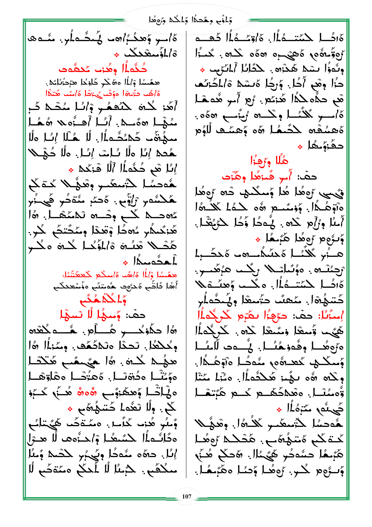وَلِمْهِ وهُدِمًا وَلِمُكُمْ وَرُوهُا

دَهُزَوُمِعُل ﴾

وُبوُّوم وُوهُا هُبُمُا \*

\* الْمَامْ بَعْد مِصْرِحْ

هَ:دُــــل حَمَّمَتْـــهُ أَلْ. هَ/وْجَــهُ أَلَّا خَـْفَـــهِ ةُأَسِرٍ وَهَدْءُ/٥ڡ لِمُحَسَّمَلُرٍ. مُنَّدَهَا ةالمؤسفىك \* أَبْعَدُ مِنْ مَصْدِهِ مِنْ مِنْ الْمَسْرَدِ. يُمْسُرَّا كُنُّه لُمَّا وهُنِ كَحَقُّوت وِثَوْا بِشِي هَذَهِ . حَدَّابًا أَلْمَتَوِّبٍ \* همَّسًا وْالْمَا مَهْكُر كَاوْكَا هَرْجَٰنُائِكَا. حزًا وقع أُحُل وَرِجًا هَيشه 16َلَحَرْبُ هُ/هُد حَبُّدهَ | هَوَهُد حَجَّمَ هُنَدَا هَ مَعْنَهُ السَّمَاءَ هُم حدُّه حَكَّا هُنهُمْ. رُمْ أُس هُدها آهَدَ لَكُنَّهُ كَلَّكُمُو وُٱلْلَّا مُنْشَكًا ضَرِ ة/سو كَلْمُسْلَم وكْلُّدْه رُبُّهُ هَجَه. مُنْهَا 3ْمَــا. أَسَٰا أُهَـُّومَهُ 2ْهَـا ەّھسُفُە للصُّمُّا ھُە وَھسُّٹ لَّاوُم معجُدَّف حَمْنُدُداً. لَا حُلَّا إِنَّا هَلَّا هُحِمْ إِنَّا هِلًّا نُـامَتْ إِنْـا. هِلًّا خُـهْـِــلا هُلًا وَرَجْزًا إِنَّا هُمْ حُخُهِ أَا أَلَّا قَبْكُمْ \* حقَّ: أَسِ قَنْمَطْ وِهَّتَ مُهدسُا حُتَّمعُصر وقَوْمًا كَتَمَكَّحْ فَيُحِيبُ رُوهُمْ هُمْ وَسَكْنِهِ دُهِ رُوهُمْ هَٰٓڵشُم ۚ رَٰٓاتُهٖ ۖ . هَٰٓتَمۡ ۖ مُتَوَصُّرٖ ۖ فَيَٰٓ ۖ زُرِ ەْبْھَـدًا. وۡفِـمَـــــــــو ۞ مَـــدَــدُـــا كَلَـــُـدُا ا كەھىك كى وقىدە ئىككىگى. ھ أَمِثًا وِرُأَهِ كَلَّهَ . فَيُوجًا وَجُلَّا كَرَبُتُمْلَ. هُزِيُدِكُمْ بُرُودُا وَتَعَدَّا وِسُخَتِجُ ۖ كُلِّ . هَصْلاً هَنُـهَ ةَالمُؤْكُـا كُـهَ هكْـو ھىنُر كَلْنُما ەُھنَىھُسى ەَھكىبا ÷ Kusîrî وَجِئْلُـرُهِ . هَوُنَبَايْــلا وِيْجَــب هَزْهَبــبْ. همُسُا وْالْمَا هَاهُمْ هَاسْكُمْ كَعْعَتْمَا. كَاثُما لِمُتَسَمُلًا. مِكْمٍ وَهِنَدْهَا أَهُا ثَاثَى مَحْوَد هُمتنَى مَنْصَحكَب وَلِمَكْلُمُكُمْ كْتْبَهُرْهَا. مُنْعَفٌ حَتّْمِعْلَ وِلْمُحُمْلُو حقَّ: وُسَهُّا لَّا تَسَهْا إِسْتَمَا: حقَّ: حَوِّهَ اللَّهُ لَا يَكُومُ هُا حَكَّوْحُــــــو هُــــــاًهِ. هُــــــه كُنْفُه هَيُب وَّسطاً وَسُعْداً لَاهِ ـِ لَكِرِيْكَمَا وِكْحَمَٰلَ. تَحَدَّلُ هَتَمَكَّفُفَ. وِمَنْزَلُمَ الْأَل وَرُوهُكُمْ وَهُوَدِهُنُكُمْ. بُنْسُوتَ لَلْمِنُكُمْ هَجُمْ كُنْهُ. ۞ أَنْ يَهْكُمْ هَجُمْهَا وَسكَـــها لَاهَــــوهُ مِنْــمُصَـــــا وْتَوْهَـــدًا . ەۆَنْسًا ەدُەھلىل. ەھتۇسىل مەلۇھىل وِكْلَاهِ هُوَ بِهُِمْ هُكُمْ الْمُرْبَعِ وَلَزْلِ مَثْلًا ەلْمَاخْسا وٌهھُرْوَسى ، ۋەڭ ھُسَنَى كَسَرُوْ وْْوِيْسَا. وْمُحْدَّكْكُ مِنْ كَلْمَ هُرْتُهْلُ َكُمْ. وِلَّا تَعْدَا حُتْنَهُ¤ُمْ \* وَمِّلُو هُذِب كَلَّابٍ مِمْتَوَجَّبٍ هَيُجَابُ هُەدسُا ۞سِعْبِ ۞لاُهُ!. وِتْعَهُّىلا ەڭائىماًا خشىغا ۋاخىزەھە الى ھىزل لْمَـقَـكُمْ هَتَـهُـهَمْـمْ. هَـٓدَكُـمْ رُوهُـا إِبَا. حقِّهِ مُعَجًا وِيَيْءِ لِكَمْ وَمِثَلَ هُبُما حِسْوَحُرٍ هَيُمَالٍ. هَجَكُمْ هُـَرُو سكْفَى ِ. هِينًا لَا لَمَكَى مِنْقَضَى لَا وَسَوَّعِ مَكْسٍ. رُوهُمَا وَصَبَّا وَهُبَهُمَا.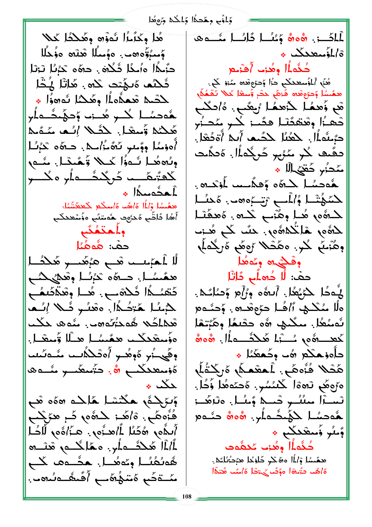وَلِمْهِ وهُدِمًا وَلِمُكُمْ وَرُوهُا

هُا وِكَلَمْاً نُوْوَه وِهُكُمَا كَمْلاً وُمِئْوَّەدە ، دۇمىلَّا شَنْرە دۇھلَّا حَبْكُمْ وَاُحِكْلِ شُكْفٍ. حقِّهِ كَبُرُبُلِ نَزِيْلِ خُلْبُم ەَبِكْتِت كُلُه . هَاتْلْ كُخْلْ لِكْتُبِكُمْ تَعْجُدُواْ وِتَعْكُلُ نُووؤُا \* ـمُّەدىئـــا كْـــو ھُـــزى وِّدَهُنگَـــەلُو هَكُمْ تُسْعَبْ حَثَىٰ الله سَمَّمْ أُدْمِمُا وِوَّىب نَهُمْ الْكَلْمِ . حَبِّهُ كَرْنُـا وِنُعِفْطِ نُدَوَّْا كَكِلا وَّهُكُلْ. مِنْدَمِ \* Kusårl همَّسُا وْٱلْمَا هَاهُم هَاسْكُمْ كَعْطَتْتُهُا. أُهُا دَّاضَّے ہُدرُود حُمْسَنَّے ہوَٰمْعدكَے وأحتمنه حقَّ: هُوهُمُّا لَّا أَحَيِّنَتَ قَبَّ هَيْفَتَتِ فَكَشَتَلَ همُسُل: حـهُه كَبُسًا وِمْحَيْكَــم كَتْعْنُــدّْا شُـْلَاةْــــى. هُــا وِتْعَدّْكَنفُــى كَبِمُلَا هَٰـٰٓتِكُمَّاً. هِ قَعْسُو شَـْلًا ۗ إِسُـْعَا ھَكلكَد ھُەجتُرَكەھە. مُدَّھ حكْم وَوَّىعِتْكَمَا هِمَّسُلِ هِـْلَا وَّمِيْقَلِ. وفَي -ُو هُوهُــو أُهتْــٰكلُفـــا مُـُــالَـلك ەُوسىلىكىسى ، ھۇسىمكىسىر مېشىمە حك ھ وَسَرَجْشَهِ مِعْتَسَا هَالَهُ 300 شَمّ فُنُوهَــم. ةَاهُــز كَــرَهُوم كَــر مترَّكَـــم أَبِدُّهِ وَوَكَّنَا لَمُ هَنُّوبٍ. هَذَاؤُهِ لَاحُباً أَالْمَا هُكْشُدَابٍ. مِمَّاكُلُدِ هُلْسُرَة هُوبُعُنُـا وحُوهُـا. هَـُــوها كُــم مَّــةَحَــهِ هُنْدُهُمَـــهِ أَقُـنڤَــهَـنُـدهَــ.

لْمَلَّصَـٰ: ﴿ وَقُدُا كَانُـا مُنْــوهِ ە/لۇمبودىك م حُذُه أَلِ وِهُنِ أَقْنُبِهِ هُنَّهُ ٱلمُؤْسِعِدِكُمِ ۚ ذَا وَجَرَّةِهُدَّهِ شَاوَ كَلَى .<br>هَمَّسُا وَجَرَّةِهُدَّهِ فَاتِّعَ حَشَرِ وَسَعْا كَلا تَقْفُكُمْ ثَعِ وَُعِمًا ۖ خَزْهِمًا رُبِعًى ۖ وَٱدْكُنِي ۖ دَّهـزُا ومْتَعَمَّلْا همَّــز كُــرٍ مِّحـزُر دَّىشُاً. كَعُنًا كَصَّم أَبِكَ أَوْضُعًا. دَهَّى لَار مُّئْهر تُرِيْكَماً!. ەَدَّەت مَدُّرِ كَفَيْ اللَّهِ . لْمُوصِبُ لِلْكُمُونَ وَقِدُّسِيبَ الْمُؤْتَسِينَ. لْمُتَمَوَّشَا وُٱلْمِب رَّتِّ وَ مَا عَمَلُ ا لمشَمْعٍ هُما وهُنْبٍ لَمُدهِ وَهَمَصْلًا لِمَوْمٍ هَاتُلُهُوْمٍ. هَنْد كُمْ هُـزْم وِهْنَهُمْ لَمُرٍ. ٥هُـۡكَلاً وۡ6هُمۡ هُرَبُكُمۡلَهُ وقثيره وتمفا حفَ: لَا دُولَم دَّاتْا لْمُحطُ لِكَبْعُلُ. أَنْتَقَعَ وَزُلُعَ وَصَلَّكُمْ. ەلْا مُكْنَى ٱ)قُلْ دَوْهِ دَو وَحَدُه وَلَ نُمسُعُل. سكُنِي ۞ه حثَنفا وِهَّتِمْا كَعْسَدْهُ مِنْ يَشْدُوا هُكْشُدْ وَالْمَنْ وَالْهُمْ وَالْقَامَ دأەۈھىكى شُە وِكُمْكَمُا ﴾ هُصْلًا قُنُوهُم. لْمَعْمَلُم هُرَكْتُمْلُمْ ەرُەھُم نەۋا ڭلىُسُر. ەَحىُەھُا وَّدًا. تَسْتَأَلَّ مَثَلُّبٌ دَّسَكَ وَّسُلُّ. وَتَأْهُبَ هُەجسُا ݣُلْمُحْسَمَار. ۞و۞ حَيْدَهِ وَّسُر وَّسفَدَكُم \* كُنُّه لَمَا وهُنِ مُحَقَّدِ همَّسُا وْالْمَا هَ كُلْ حَاوْدُا هَرْحَزُنَاسُ . هَاهُما حَبْثُ أَمْرَهُمْ وَأَمَّدَتْ وَأَمَّدْ مَعْنَاهِ